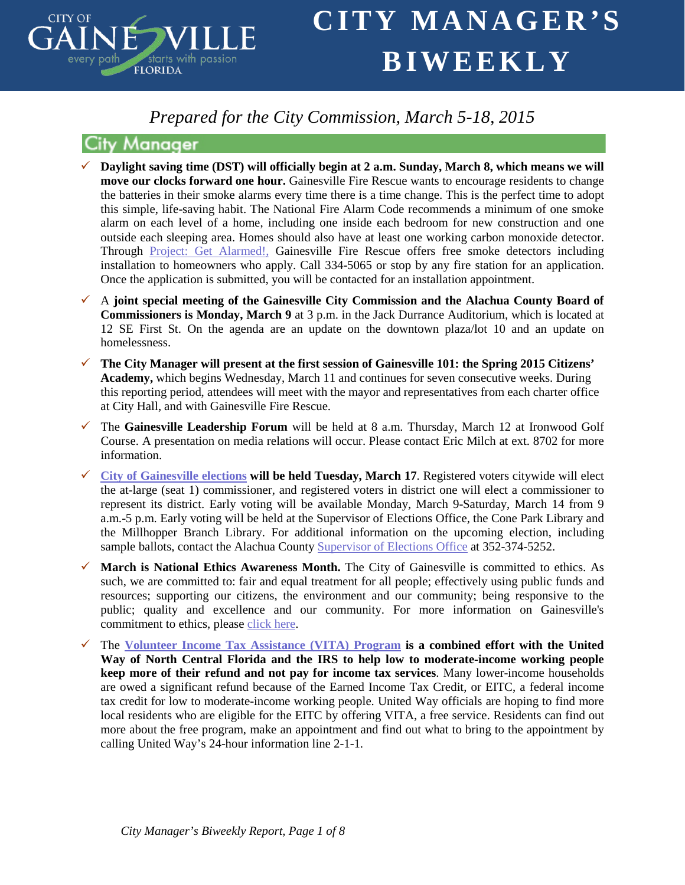

## *Prepared for the City Commission, March 5-18, 2015*

### **City Manager**

- **Daylight saving time (DST) will officially begin at 2 a.m. Sunday, March 8, which means we will move our clocks forward one hour.** Gainesville Fire Rescue wants to encourage residents to change the batteries in their smoke alarms every time there is a time change. This is the perfect time to adopt this simple, life-saving habit. The National Fire Alarm Code recommends a minimum of one smoke alarm on each level of a home, including one inside each bedroom for new construction and one outside each sleeping area. Homes should also have at least one working carbon monoxide detector. Through [Project: Get Alarmed!,](http://lists.gvlfl.org/t/238315/1235/1709/7/) Gainesville Fire Rescue offers free smoke detectors including installation to homeowners who apply. Call 334-5065 or stop by any fire station for an application. Once the application is submitted, you will be contacted for an installation appointment.
- A **joint special meeting of the Gainesville City Commission and the Alachua County Board of Commissioners is Monday, March 9** at 3 p.m. in the Jack Durrance Auditorium, which is located at 12 SE First St. On the agenda are an update on the downtown plaza/lot 10 and an update on homelessness.
- **The City Manager will present at the first session of Gainesville 101: the Spring 2015 Citizens' Academy,** which begins Wednesday, March 11 and continues for seven consecutive weeks. During this reporting period, attendees will meet with the mayor and representatives from each charter office at City Hall, and with Gainesville Fire Rescue.
- The **Gainesville Leadership Forum** will be held at 8 a.m. Thursday, March 12 at Ironwood Golf Course. A presentation on media relations will occur. Please contact Eric Milch at ext. 8702 for more information.
- **[City of Gainesville elections](http://www.votealachua.com/Elections-Records/Upcoming-Election/Gainesville.aspx) will be held Tuesday, March 17**. Registered voters citywide will elect the at-large (seat 1) commissioner, and registered voters in district one will elect a commissioner to represent its district. Early voting will be available Monday, March 9-Saturday, March 14 from 9 a.m.-5 p.m. Early voting will be held at the Supervisor of Elections Office, the Cone Park Library and the Millhopper Branch Library. For additional information on the upcoming election, including sample ballots, contact the Alachua County [Supervisor of Elections](http://lists.gvlfl.org/t/238315/1235/1777/4/) Office at 352-374-5252.
- **March is National Ethics Awareness Month.** The City of Gainesville is committed to ethics. As such, we are committed to: fair and equal treatment for all people; effectively using public funds and resources; supporting our citizens, the environment and our community; being responsive to the public; quality and excellence and our community. For more information on Gainesville's commitment to ethics, please [click here.](http://www.cityofgainesville.org/CityManager/CommitmenttoEthics.aspx)
- The **[Volunteer Income Tax Assistance \(VITA\) Program](http://www.unitedwayncfl.org/vita) is a combined effort with the United Way of North Central Florida and the IRS to help low to moderate-income working people keep more of their refund and not pay for income tax services**. Many lower-income households are owed a significant refund because of the Earned Income Tax Credit, or EITC, a federal income tax credit for low to moderate-income working people. United Way officials are hoping to find more local residents who are eligible for the EITC by offering VITA, a free service. Residents can find out more about the free program, make an appointment and find out what to bring to the appointment by calling United Way's 24-hour information line 2-1-1.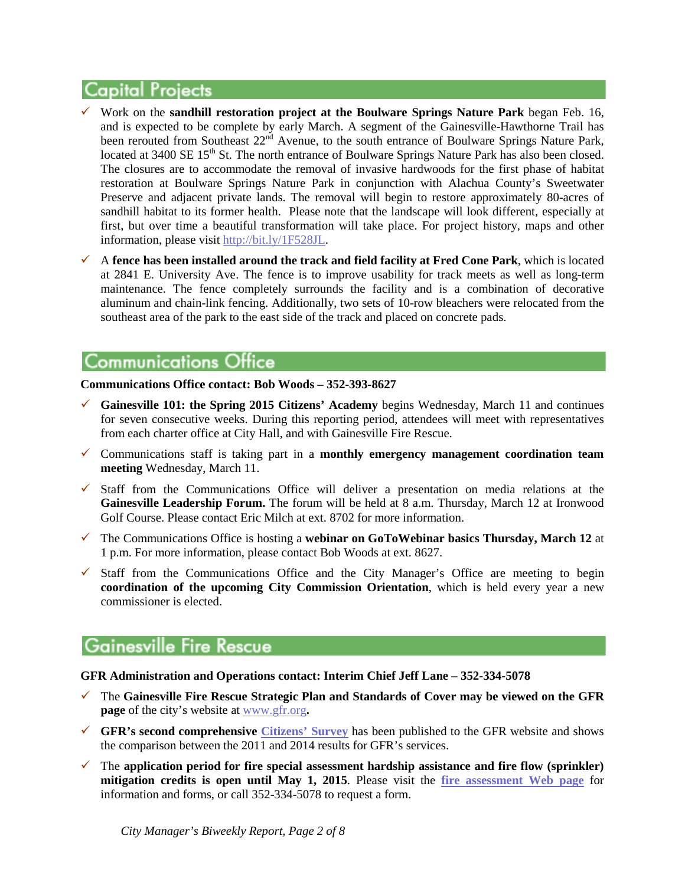## **Capital Projects**

- Work on the **sandhill restoration project at the Boulware Springs Nature Park** began Feb. 16, and is expected to be complete by early March. A segment of the Gainesville-Hawthorne Trail has been rerouted from Southeast  $22<sup>nd</sup>$  Avenue, to the south entrance of Boulware Springs Nature Park, located at 3400 SE 15<sup>th</sup> St. The north entrance of Boulware Springs Nature Park has also been closed. The closures are to accommodate the removal of invasive hardwoods for the first phase of habitat restoration at Boulware Springs Nature Park in conjunction with Alachua County's Sweetwater Preserve and adjacent private lands. The removal will begin to restore approximately 80-acres of sandhill habitat to its former health. Please note that the landscape will look different, especially at first, but over time a beautiful transformation will take place. For project history, maps and other information, please visit [http://bit.ly/1F528JL.](http://bit.ly/1F528JL)
- $\checkmark$  A fence has been installed around the track and field facility at Fred Cone Park, which is located at 2841 E. University Ave. The fence is to improve usability for track meets as well as long-term maintenance. The fence completely surrounds the facility and is a combination of decorative aluminum and chain-link fencing. Additionally, two sets of 10-row bleachers were relocated from the southeast area of the park to the east side of the track and placed on concrete pads.

## **Communications Office**

**Communications Office contact: Bob Woods – 352-393-8627**

- **Gainesville 101: the Spring 2015 Citizens' Academy** begins Wednesday, March 11 and continues for seven consecutive weeks. During this reporting period, attendees will meet with representatives from each charter office at City Hall, and with Gainesville Fire Rescue.
- Communications staff is taking part in a **monthly emergency management coordination team meeting** Wednesday, March 11.
- $\checkmark$  Staff from the Communications Office will deliver a presentation on media relations at the **Gainesville Leadership Forum.** The forum will be held at 8 a.m. Thursday, March 12 at Ironwood Golf Course. Please contact Eric Milch at ext. 8702 for more information.
- The Communications Office is hosting a **webinar on GoToWebinar basics Thursday, March 12** at 1 p.m. For more information, please contact Bob Woods at ext. 8627.
- $\checkmark$  Staff from the Communications Office and the City Manager's Office are meeting to begin **coordination of the upcoming City Commission Orientation**, which is held every year a new commissioner is elected.

## **Gainesville Fire Rescue**

### **GFR Administration and Operations contact: Interim Chief Jeff Lane – 352-334-5078**

- The **Gainesville Fire Rescue Strategic Plan and Standards of Cover may be viewed on the GFR page** of the city's website at [www.gfr.org](http://www.gfr.org/)**.**
- **GFR's second comprehensive [Citizens' Survey](http://www.cityofgainesville.org/Portals/0/GFR/Admin/GFR%202014%20Citizen%20Survey.pdf)** has been published to the GFR website and shows the comparison between the 2011 and 2014 results for GFR's services.
- $\checkmark$  The application period for fire special assessment hardship assistance and fire flow (sprinkler) **mitigation credits is open until May 1, 2015**. Please visit the **[fire assessment Web page](http://www.cityofgainesville.org/GainesvilleFireRescue(GFR)/FireAssessment.aspx)** for information and forms, or call 352-334-5078 to request a form.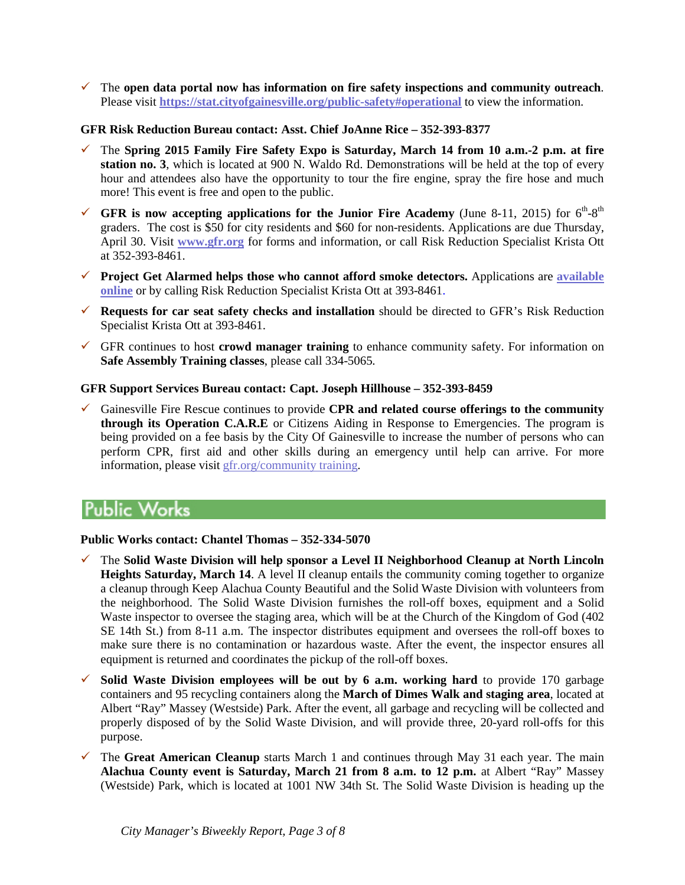The **open data portal now has information on fire safety inspections and community outreach**. Please visit **<https://stat.cityofgainesville.org/public-safety#operational>** to view the information.

### **GFR Risk Reduction Bureau contact: Asst. Chief JoAnne Rice – 352-393-8377**

- The **Spring 2015 Family Fire Safety Expo is Saturday, March 14 from 10 a.m.-2 p.m. at fire station no. 3**, which is located at 900 N. Waldo Rd. Demonstrations will be held at the top of every hour and attendees also have the opportunity to tour the fire engine, spray the fire hose and much more! This event is free and open to the public.
- GFR is now accepting applications for the Junior Fire Academy (June 8-11, 2015) for  $6<sup>th</sup>-8<sup>th</sup>$ graders. The cost is \$50 for city residents and \$60 for non-residents. Applications are due Thursday, April 30. Visit **[www.gfr.org](http://www.gfr.org/)** for forms and information, or call Risk Reduction Specialist Krista Ott at 352-393-8461.
- **Project Get Alarmed helps those who cannot afford smoke detectors.** Applications are **[available](http://www.cityofgainesville.org/Portals/0/GFR/Project%20Get%20Alarmed.pdf)  [online](http://www.cityofgainesville.org/Portals/0/GFR/Project%20Get%20Alarmed.pdf)** or by calling Risk Reduction Specialist Krista Ott at 393-8461.
- **Requests for car seat safety checks and installation** should be directed to GFR's Risk Reduction Specialist Krista Ott at 393-8461.
- $\checkmark$  GFR continues to host **crowd manager training** to enhance community safety. For information on **Safe Assembly Training classes**, please call 334-5065.

### **GFR Support Services Bureau contact: Capt. Joseph Hillhouse – 352-393-8459**

 Gainesville Fire Rescue continues to provide **CPR and related course offerings to the community through its Operation C.A.R.E** or Citizens Aiding in Response to Emergencies. The program is being provided on a fee basis by the City Of Gainesville to increase the number of persons who can perform CPR, first aid and other skills during an emergency until help can arrive. For more information, please visit [gfr.org/community training.](http://www.cityofgainesville.org/GainesvilleFireRescue(GFR)/SupportServices/CommunityClasses.aspx)

# Public Works

#### **Public Works contact: Chantel Thomas – 352-334-5070**

- The **Solid Waste Division will help sponsor a Level II Neighborhood Cleanup at North Lincoln Heights Saturday, March 14**. A level II cleanup entails the community coming together to organize a cleanup through Keep Alachua County Beautiful and the Solid Waste Division with volunteers from the neighborhood. The Solid Waste Division furnishes the roll-off boxes, equipment and a Solid Waste inspector to oversee the staging area, which will be at the Church of the Kingdom of God (402 SE 14th St.) from 8-11 a.m. The inspector distributes equipment and oversees the roll-off boxes to make sure there is no contamination or hazardous waste. After the event, the inspector ensures all equipment is returned and coordinates the pickup of the roll-off boxes.
- $\checkmark$  Solid Waste Division employees will be out by 6 a.m. working hard to provide 170 garbage containers and 95 recycling containers along the **March of Dimes Walk and staging area**, located at Albert "Ray" Massey (Westside) Park. After the event, all garbage and recycling will be collected and properly disposed of by the Solid Waste Division, and will provide three, 20-yard roll-offs for this purpose.
- $\checkmark$  The **Great American Cleanup** starts March 1 and continues through May 31 each year. The main **Alachua County event is Saturday, March 21 from 8 a.m. to 12 p.m.** at Albert "Ray" Massey (Westside) Park, which is located at 1001 NW 34th St. The Solid Waste Division is heading up the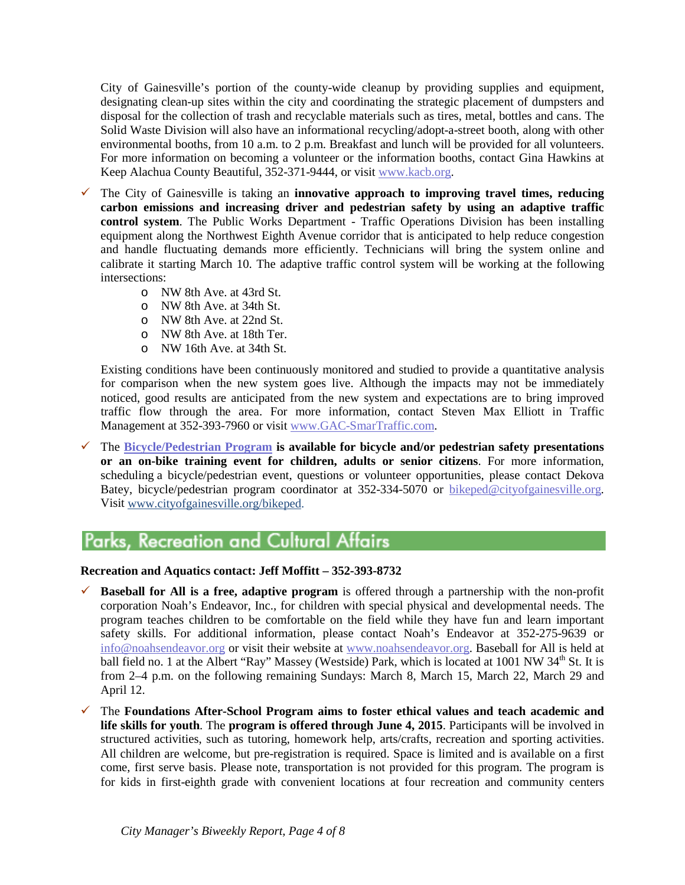City of Gainesville's portion of the county-wide cleanup by providing supplies and equipment, designating clean-up sites within the city and coordinating the strategic placement of dumpsters and disposal for the collection of trash and recyclable materials such as tires, metal, bottles and cans. The Solid Waste Division will also have an informational recycling/adopt-a-street booth, along with other environmental booths, from 10 a.m. to 2 p.m. Breakfast and lunch will be provided for all volunteers. For more information on becoming a volunteer or the information booths, contact Gina Hawkins at Keep Alachua County Beautiful, 352-371-9444, or visit [www.kacb.org.](http://lists.gvlfl.org/t/238315/1235/124/13/)

- The City of Gainesville is taking an **innovative approach to improving travel times, reducing carbon emissions and increasing driver and pedestrian safety by using an adaptive traffic control system**. The Public Works Department - Traffic Operations Division has been installing equipment along the Northwest Eighth Avenue corridor that is anticipated to help reduce congestion and handle fluctuating demands more efficiently. Technicians will bring the system online and calibrate it starting March 10. The adaptive traffic control system will be working at the following intersections:
	- o NW 8th Ave. at 43rd St.
	- o NW 8th Ave. at 34th St.
	- o NW 8th Ave. at 22nd St.
	- o NW 8th Ave. at 18th Ter.
	- o NW 16th Ave. at 34th St.

Existing conditions have been continuously monitored and studied to provide a quantitative analysis for comparison when the new system goes live. Although the impacts may not be immediately noticed, good results are anticipated from the new system and expectations are to bring improved traffic flow through the area. For more information, contact Steven Max Elliott in Traffic Management at 352-393-7960 or visit [www.GAC-SmarTraffic.com.](http://www.gac-smartraffic.com/)

 The **[Bicycle/Pedestrian Program](http://www.cityofgainesville.org/bikeped) is available for bicycle and/or pedestrian safety presentations or an on-bike training event for children, adults or senior citizens**. For more information, scheduling a bicycle/pedestrian event, questions or volunteer opportunities, please contact Dekova Batey, bicycle/pedestrian program coordinator at 352-334-5070 or [bikeped@cityofgainesville.org.](mailto:bikeped@cityofgainesville.org)  Visit [www.cityofgainesville.org/bikeped.](http://www.cityofgainesville.org/bikeped)

# **Parks, Recreation and Cultural Affairs**

### **Recreation and Aquatics contact: Jeff Moffitt – 352-393-8732**

- **Baseball for All is a free, adaptive program** is offered through a partnership with the non-profit corporation Noah's Endeavor, Inc., for children with special physical and developmental needs. The program teaches children to be comfortable on the field while they have fun and learn important safety skills. For additional information, please contact Noah's Endeavor at 352-275-9639 or [info@noahsendeavor.org](mailto:info@noahsendeavor.org) or visit their website at www.noahsendeavor.org. Baseball for All is held at ball field no. 1 at the Albert "Ray" Massey (Westside) Park, which is located at 1001 NW 34<sup>th</sup> St. It is from 2–4 p.m. on the following remaining Sundays: March 8, March 15, March 22, March 29 and April 12.
- The **Foundations After-School Program aims to foster ethical values and teach academic and life skills for youth**. The **program is offered through June 4, 2015**. Participants will be involved in structured activities, such as tutoring, homework help, arts/crafts, recreation and sporting activities. All children are welcome, but pre-registration is required. Space is limited and is available on a first come, first serve basis. Please note, transportation is not provided for this program. The program is for kids in first-eighth grade with convenient locations at four recreation and community centers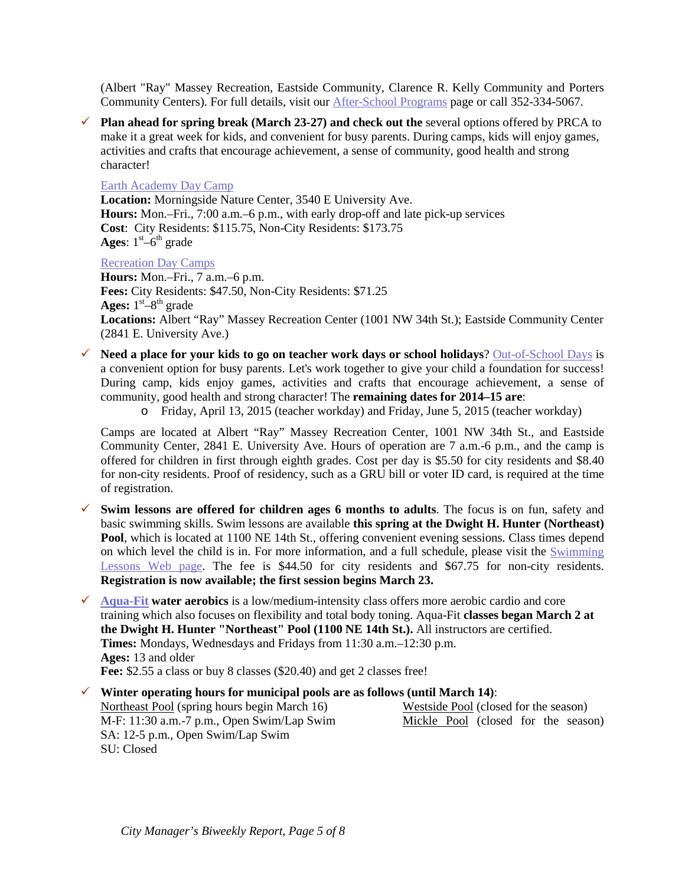(Albert "Ray" Massey Recreation, Eastside Community, Clarence R. Kelly Community and Porters Community Centers). For full details, visit our [After-School Programs](http://www.cityofgainesville.org/ParksRecreationCulturalAffairs/YouthProgramsCamps/AfterSchoolPrograms.aspx) page or call 352-334-5067.

 **Plan ahead for spring break (March 23-27) and check out the** several options offered by PRCA to make it a great week for kids, and convenient for busy parents. During camps, kids will enjoy games, activities and crafts that encourage achievement, a sense of community, good health and strong character!

#### [Earth Academy Day Camp](http://www.cityofgainesville.org/ParksRecreationCulturalAffairs/NaturalResourcesamp;Programs/EarthAcademyDayCamp.aspx)

**Location:** Morningside Nature Center, 3540 E University Ave. **Hours:** Mon.–Fri., 7:00 a.m.–6 p.m., with early drop-off and late pick-up services **Cost**: City Residents: \$115.75, Non-City Residents: \$173.75 **Ages**:  $1<sup>st</sup> - 6<sup>th</sup>$  grade

#### [Recreation Day Camps](http://www.cityofgainesville.org/ParksRecreationCulturalAffairs/YouthProgramsCamps/Camps.aspx)

**Hours:** Mon.–Fri., 7 a.m.–6 p.m. **Fees:** City Residents: \$47.50, Non-City Residents: \$71.25 Ages:  $1<sup>st</sup>-8<sup>th</sup>$  grade **Locations:** Albert "Ray" Massey Recreation Center (1001 NW 34th St.); Eastside Community Center (2841 E. University Ave.)

- **Need a place for your kids to go on teacher work days or school holidays**? [Out-of-School Days](http://www.cityofgainesville.org/ParksRecreationCulturalAffairs/YouthProgramsCamps/Camps.aspx) is a convenient option for busy parents. Let's work together to give your child a foundation for success! During camp, kids enjoy games, activities and crafts that encourage achievement, a sense of community, good health and strong character! The **remaining dates for 2014–15 are**:
	- o Friday, April 13, 2015 (teacher workday) and Friday, June 5, 2015 (teacher workday)

Camps are located at Albert "Ray" Massey Recreation Center, 1001 NW 34th St., and Eastside Community Center, 2841 E. University Ave. Hours of operation are 7 a.m.-6 p.m., and the camp is offered for children in first through eighth grades. Cost per day is \$5.50 for city residents and \$8.40 for non-city residents. Proof of residency, such as a GRU bill or voter ID card, is required at the time of registration.

- $\checkmark$  Swim lessons are offered for children ages 6 months to adults. The focus is on fun, safety and basic swimming skills. Swim lessons are available **this spring at the Dwight H. Hunter (Northeast) Pool**, which is located at 1100 NE 14th St., offering convenient evening sessions. Class times depend on which level the child is in. For more information, and a full schedule, please visit the [Swimming](http://www.cityofgainesville.org/ParksRecreationCulturalAffairs/Sports,AquaticsFitness/Aquatics/SwimLessons.aspx)  [Lessons Web page.](http://www.cityofgainesville.org/ParksRecreationCulturalAffairs/Sports,AquaticsFitness/Aquatics/SwimLessons.aspx) The fee is \$44.50 for city residents and \$67.75 for non-city residents. **Registration is now available; the first session begins March 23.**
- **[Aqua-Fit](http://www.cityofgainesville.org/ParksRecreationCulturalAffairs/Sports,AquaticsFitness/Aquatics/AquaFitnessClasses.aspx#WaterAerobics) water aerobics** is a low/medium-intensity class offers more aerobic cardio and core training which also focuses on flexibility and total body toning. Aqua-Fit **classes began March 2 at the Dwight H. Hunter "Northeast" Pool (1100 NE 14th St.).** All instructors are certified. **Times:** Mondays, Wednesdays and Fridays from 11:30 a.m.–12:30 p.m. **Ages:** 13 and older **Fee:** \$2.55 a class or buy 8 classes (\$20.40) and get 2 classes free!
- **Winter operating hours for municipal pools are as follows (until March 14)**: Northeast Pool (spring hours begin March 16) Westside Pool (closed for the season) M-F: 11:30 a.m.-7 p.m., Open Swim/Lap Swim Mickle Pool (closed for the season) SA: 12-5 p.m., Open Swim/Lap Swim SU: Closed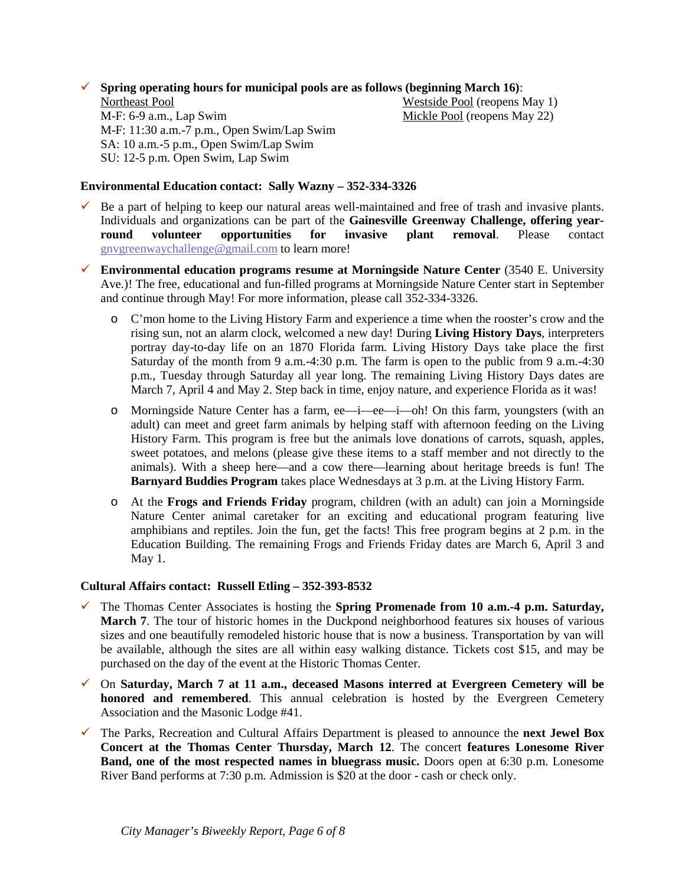**Spring operating hours for municipal pools are as follows (beginning March 16):** 

Northeast Pool **Northeast Pool** (reopens May 1) M-F: 6-9 a.m., Lap Swim Mickle Pool (reopens May 22) M-F: 11:30 a.m.-7 p.m., Open Swim/Lap Swim SA: 10 a.m.-5 p.m., Open Swim/Lap Swim SU: 12-5 p.m. Open Swim, Lap Swim

### **Environmental Education contact: Sally Wazny – 352-334-3326**

- $\checkmark$  Be a part of helping to keep our natural areas well-maintained and free of trash and invasive plants. Individuals and organizations can be part of the **Gainesville Greenway Challenge, offering year-**<br> **round** volunteer opportunities for invasive plant removal. Please contact **round volunteer opportunities for invasive plant removal**. Please contact gnvgreenwaychallenge@gmail.com to learn more!
- **Environmental education programs resume at Morningside Nature Center** (3540 E. University Ave.)! The free, educational and fun-filled programs at Morningside Nature Center start in September and continue through May! For more information, please call 352-334-3326.
	- o C'mon home to the Living History Farm and experience a time when the rooster's crow and the rising sun, not an alarm clock, welcomed a new day! During **Living History Days**, interpreters portray day-to-day life on an 1870 Florida farm. Living History Days take place the first Saturday of the month from 9 a.m.-4:30 p.m. The farm is open to the public from 9 a.m.-4:30 p.m., Tuesday through Saturday all year long. The remaining Living History Days dates are March 7, April 4 and May 2. Step back in time, enjoy nature, and experience Florida as it was!
	- o Morningside Nature Center has a farm, ee—i—ee—i—oh! On this farm, youngsters (with an adult) can meet and greet farm animals by helping staff with afternoon feeding on the Living History Farm. This program is free but the animals love donations of carrots, squash, apples, sweet potatoes, and melons (please give these items to a staff member and not directly to the animals). With a sheep here—and a cow there—learning about heritage breeds is fun! The **Barnyard Buddies Program** takes place Wednesdays at 3 p.m. at the Living History Farm.
	- o At the **Frogs and Friends Friday** program, children (with an adult) can join a Morningside Nature Center animal caretaker for an exciting and educational program featuring live amphibians and reptiles. Join the fun, get the facts! This free program begins at 2 p.m. in the Education Building. The remaining Frogs and Friends Friday dates are March 6, April 3 and May 1.

#### **Cultural Affairs contact: Russell Etling – 352-393-8532**

- The Thomas Center Associates is hosting the **Spring Promenade from 10 a.m.-4 p.m. Saturday, March 7**. The tour of historic homes in the Duckpond neighborhood features six houses of various sizes and one beautifully remodeled historic house that is now a business. Transportation by van will be available, although the sites are all within easy walking distance. Tickets cost \$15, and may be purchased on the day of the event at the Historic Thomas Center.
- On **Saturday, March 7 at 11 a.m., deceased Masons interred at Evergreen Cemetery will be honored and remembered**. This annual celebration is hosted by the Evergreen Cemetery Association and the Masonic Lodge #41.
- The Parks, Recreation and Cultural Affairs Department is pleased to announce the **next Jewel Box Concert at the Thomas Center Thursday, March 12**. The concert **features Lonesome River Band, one of the most respected names in bluegrass music.** Doors open at 6:30 p.m. Lonesome River Band performs at 7:30 p.m. Admission is \$20 at the door - cash or check only.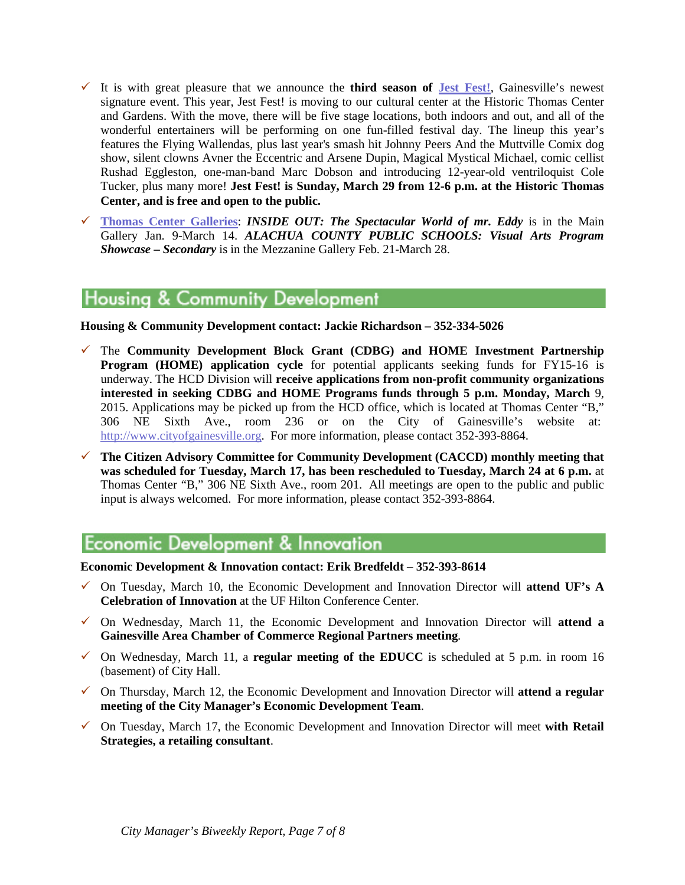- It is with great pleasure that we announce the **third season of [Jest Fest!](http://gvlculturalaffairs.org/website/programs_events/jestfest/jest-fest-gainesville.html)**, Gainesville's newest signature event. This year, Jest Fest! is moving to our cultural center at the Historic Thomas Center and Gardens. With the move, there will be five stage locations, both indoors and out, and all of the wonderful entertainers will be performing on one fun-filled festival day. The lineup this year's features the Flying Wallendas, plus last year's smash hit Johnny Peers And the Muttville Comix dog show, silent clowns Avner the Eccentric and Arsene Dupin, Magical Mystical Michael, comic cellist Rushad Eggleston, one-man-band Marc Dobson and introducing 12-year-old ventriloquist Cole Tucker, plus many more! **Jest Fest! is Sunday, March 29 from 12-6 p.m. at the Historic Thomas Center, and is free and open to the public.**
- **[Thomas Center Galleries](http://www.gvlculturalaffairs.org/website/programs_events/Galleries/galleries.html)**: *INSIDE OUT: The Spectacular World of mr. Eddy* is in the Main Gallery Jan. 9-March 14. *ALACHUA COUNTY PUBLIC SCHOOLS: Visual Arts Program Showcase – Secondary* is in the Mezzanine Gallery Feb. 21-March 28.

## **Housing & Community Development**

**Housing & Community Development contact: Jackie Richardson – 352-334-5026**

- The **Community Development Block Grant (CDBG) and HOME Investment Partnership Program (HOME) application cycle** for potential applicants seeking funds for FY15-16 is underway. The HCD Division will **receive applications from non-profit community organizations interested in seeking CDBG and HOME Programs funds through 5 p.m. Monday, March** 9, 2015. Applications may be picked up from the HCD office, which is located at Thomas Center "B," 306 NE Sixth Ave., room 236 or on the City of Gainesville's website at: [http://www.cityofgainesville.org.](http://www.cityofgainesville.org/) For more information, please contact 352-393-8864.
- **The Citizen Advisory Committee for Community Development (CACCD) monthly meeting that was scheduled for Tuesday, March 17, has been rescheduled to Tuesday, March 24 at 6 p.m.** at Thomas Center "B," 306 NE Sixth Ave., room 201. All meetings are open to the public and public input is always welcomed. For more information, please contact 352-393-8864.

# **Economic Development & Innovation**

**Economic Development & Innovation contact: Erik Bredfeldt – 352-393-8614**

- On Tuesday, March 10, the Economic Development and Innovation Director will **attend UF's A Celebration of Innovation** at the UF Hilton Conference Center.
- $\checkmark$  On Wednesday, March 11, the Economic Development and Innovation Director will **attend a Gainesville Area Chamber of Commerce Regional Partners meeting**.
- $\checkmark$  On Wednesday, March 11, a **regular meeting of the EDUCC** is scheduled at 5 p.m. in room 16 (basement) of City Hall.
- On Thursday, March 12, the Economic Development and Innovation Director will **attend a regular meeting of the City Manager's Economic Development Team**.
- On Tuesday, March 17, the Economic Development and Innovation Director will meet **with Retail Strategies, a retailing consultant**.